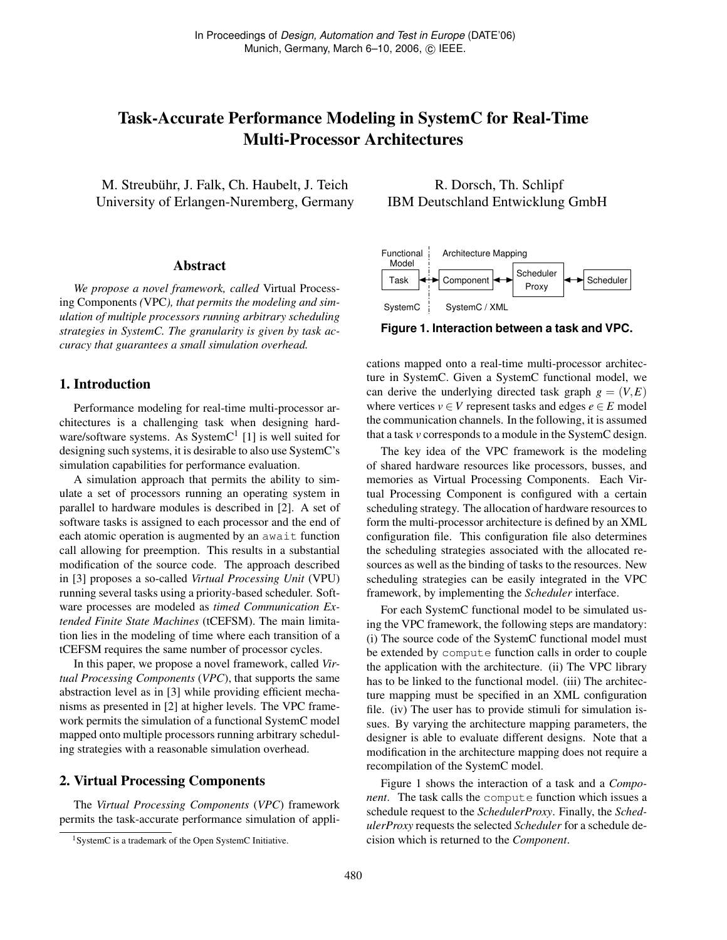# Task-Accurate Performance Modeling in SystemC for Real-Time Multi-Processor Architectures

M. Streubühr, J. Falk, Ch. Haubelt, J. Teich University of Erlangen-Nuremberg, Germany

### Abstract

*We propose a novel framework, called* Virtual Processing Components *(*VPC*), that permits the modeling and simulation of multiple processors running arbitrary scheduling strategies in SystemC. The granularity is given by task accuracy that guarantees a small simulation overhead.*

## 1. Introduction

Performance modeling for real-time multi-processor architectures is a challenging task when designing hardware/software systems. As System $C<sup>1</sup>$  [1] is well suited for designing such systems, it is desirable to also use SystemC's simulation capabilities for performance evaluation.

A simulation approach that permits the ability to simulate a set of processors running an operating system in parallel to hardware modules is described in [2]. A set of software tasks is assigned to each processor and the end of each atomic operation is augmented by an await function call allowing for preemption. This results in a substantial modification of the source code. The approach described in [3] proposes a so-called *Virtual Processing Unit* (VPU) running several tasks using a priority-based scheduler. Software processes are modeled as *timed Communication Extended Finite State Machines* (tCEFSM). The main limitation lies in the modeling of time where each transition of a tCEFSM requires the same number of processor cycles.

In this paper, we propose a novel framework, called *Virtual Processing Components* (*VPC*), that supports the same abstraction level as in [3] while providing efficient mechanisms as presented in [2] at higher levels. The VPC framework permits the simulation of a functional SystemC model mapped onto multiple processors running arbitrary scheduling strategies with a reasonable simulation overhead.

## 2. Virtual Processing Components

The *Virtual Processing Components* (*VPC*) framework permits the task-accurate performance simulation of appli-

R. Dorsch, Th. Schlipf IBM Deutschland Entwicklung GmbH



**Figure 1. Interaction between a task and VPC.**

cations mapped onto a real-time multi-processor architecture in SystemC. Given a SystemC functional model, we can derive the underlying directed task graph  $g = (V, E)$ where vertices  $v \in V$  represent tasks and edges  $e \in E$  model the communication channels. In the following, it is assumed that a task *v* corresponds to a module in the SystemC design.

The key idea of the VPC framework is the modeling of shared hardware resources like processors, busses, and memories as Virtual Processing Components. Each Virtual Processing Component is configured with a certain scheduling strategy. The allocation of hardware resources to form the multi-processor architecture is defined by an XML configuration file. This configuration file also determines the scheduling strategies associated with the allocated resources as well as the binding of tasks to the resources. New scheduling strategies can be easily integrated in the VPC framework, by implementing the *Scheduler* interface.

For each SystemC functional model to be simulated using the VPC framework, the following steps are mandatory: (i) The source code of the SystemC functional model must be extended by compute function calls in order to couple the application with the architecture. (ii) The VPC library has to be linked to the functional model. (iii) The architecture mapping must be specified in an XML configuration file. (iv) The user has to provide stimuli for simulation issues. By varying the architecture mapping parameters, the designer is able to evaluate different designs. Note that a modification in the architecture mapping does not require a recompilation of the SystemC model.

Figure 1 shows the interaction of a task and a *Component*. The task calls the compute function which issues a schedule request to the *SchedulerProxy*. Finally, the *SchedulerProxy* requests the selected *Scheduler* for a schedule decision which is returned to the *Component*.

<sup>&</sup>lt;sup>1</sup>SystemC is a trademark of the Open SystemC Initiative.